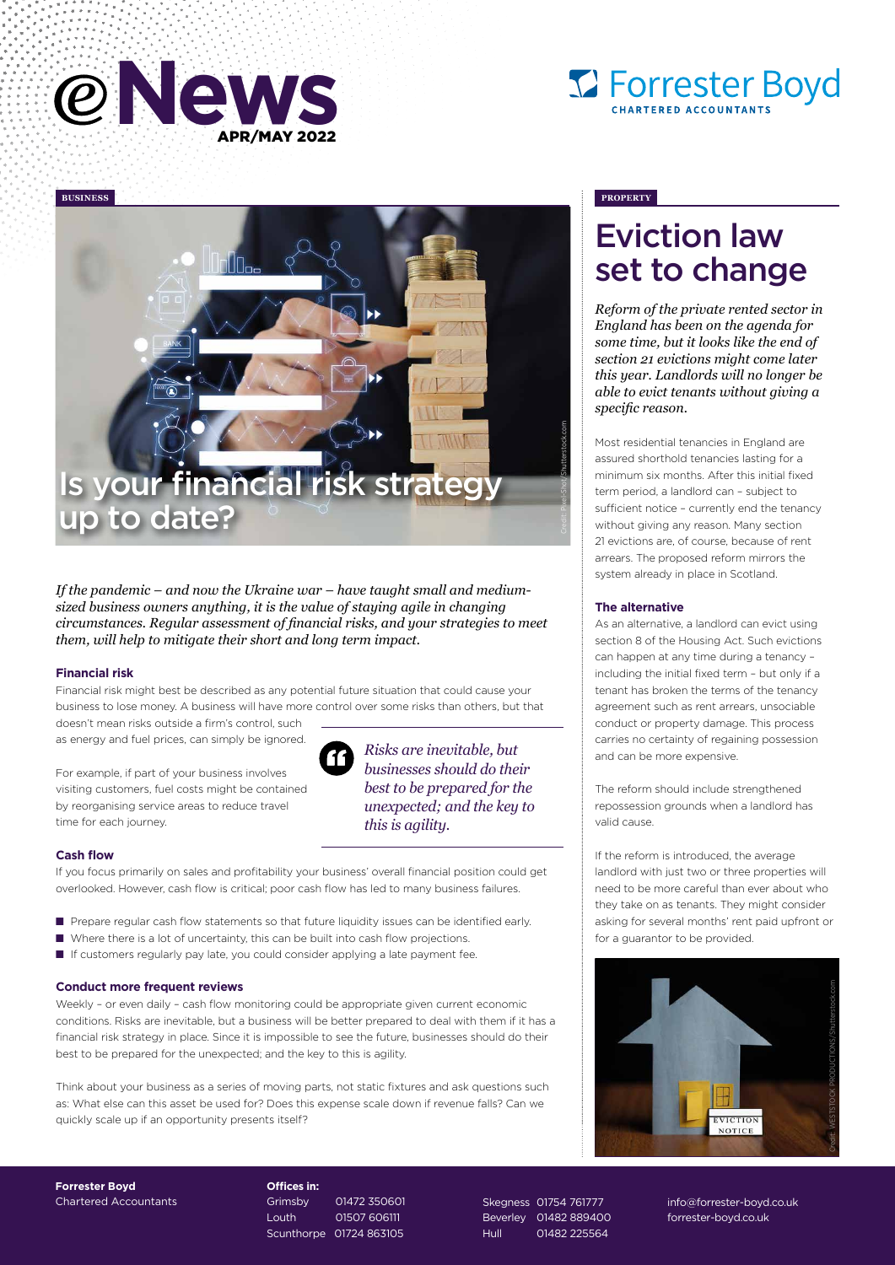





*If the pandemic – and now the Ukraine war – have taught small and mediumsized business owners anything, it is the value of staying agile in changing circumstances. Regular assessment of financial risks, and your strategies to meet them, will help to mitigate their short and long term impact.* 

### **Financial risk**

Financial risk might best be described as any potential future situation that could cause your business to lose money. A business will have more control over some risks than others, but that

doesn't mean risks outside a firm's control, such as energy and fuel prices, can simply be ignored.

For example, if part of your business involves visiting customers, fuel costs might be contained by reorganising service areas to reduce travel time for each journey.



*Risks are inevitable, but businesses should do their best to be prepared for the unexpected; and the key to this is agility.*

### **Cash flow**

If you focus primarily on sales and profitability your business' overall financial position could get overlooked. However, cash flow is critical; poor cash flow has led to many business failures.

- Prepare regular cash flow statements so that future liquidity issues can be identified early.
- Where there is a lot of uncertainty, this can be built into cash flow projections.
- If customers regularly pay late, you could consider applying a late payment fee.

#### **Conduct more frequent reviews**

Weekly – or even daily – cash flow monitoring could be appropriate given current economic conditions. Risks are inevitable, but a business will be better prepared to deal with them if it has a financial risk strategy in place. Since it is impossible to see the future, businesses should do their best to be prepared for the unexpected; and the key to this is agility.

Think about your business as a series of moving parts, not static fixtures and ask questions such as: What else can this asset be used for? Does this expense scale down if revenue falls? Can we quickly scale up if an opportunity presents itself?

### Eviction law set to change

*Reform of the private rented sector in England has been on the agenda for some time, but it looks like the end of section 21 evictions might come later this year. Landlords will no longer be able to evict tenants without giving a specific reason.* 

Most residential tenancies in England are assured shorthold tenancies lasting for a minimum six months. After this initial fixed term period, a landlord can – subject to sufficient notice – currently end the tenancy without giving any reason. Many section 21 evictions are, of course, because of rent arrears. The proposed reform mirrors the system already in place in Scotland.

#### **The alternative**

As an alternative, a landlord can evict using section 8 of the Housing Act. Such evictions can happen at any time during a tenancy – including the initial fixed term – but only if a tenant has broken the terms of the tenancy agreement such as rent arrears, unsociable conduct or property damage. This process carries no certainty of regaining possession and can be more expensive.

The reform should include strengthened repossession grounds when a landlord has valid cause.

If the reform is introduced, the average landlord with just two or three properties will need to be more careful than ever about who they take on as tenants. They might consider asking for several months' rent paid upfront or for a guarantor to be provided.



**Forrester Boyd** Chartered Accountants **Offices in:** Grimsby 01472 350601 Louth 01507 606111 Scunthorpe 01724 863105

Skegness 01754 761777 Beverley 01482 889400 Hull 01482 225564

info@forrester-boyd.co.uk forrester-boyd.co.uk